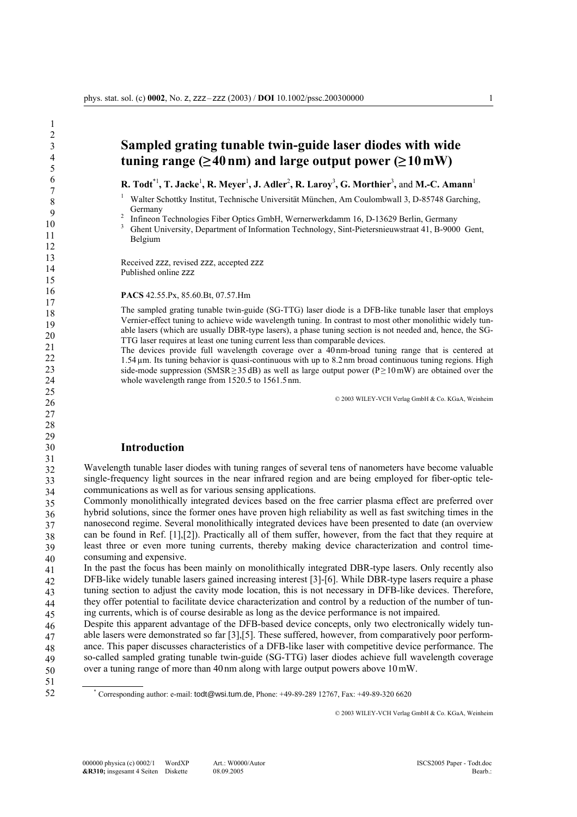# **Sampled grating tunable twin-guide laser diodes with wide**   $tuning range (≥40 nm)$  and large output power  $(≥10 mW)$

**R. Todt**\*1**, T. Jacke**<sup>1</sup> **, R. Meyer**<sup>1</sup> **, J. Adler**<sup>2</sup> **, R. Laroy**<sup>3</sup> **, G. Morthier**<sup>3</sup> **,** and **M.-C. Amann**<sup>1</sup>

1 Walter Schottky Institut, Technische Universität München, Am Coulombwall 3, D-85748 Garching, Germany

<sup>2</sup> Infineon Technologies Fiber Optics GmbH, Wernerwerkdamm 16, D-13629 Berlin, Germany  $\frac{3}{2}$  Chart University, Department of Information Technology, Sint Distorprint west 41, B, 0000

 Ghent University, Department of Information Technology, Sint-Pietersnieuwstraat 41, B-9000 Gent, Belgium

Received zzz, revised zzz, accepted zzz Published online zzz

**PACS** 42.55.Px, 85.60.Bt, 07.57.Hm

The sampled grating tunable twin-guide (SG-TTG) laser diode is a DFB-like tunable laser that employs Vernier-effect tuning to achieve wide wavelength tuning. In contrast to most other monolithic widely tunable lasers (which are usually DBR-type lasers), a phase tuning section is not needed and, hence, the SG-TTG laser requires at least one tuning current less than comparable devices.

The devices provide full wavelength coverage over a 40 nm-broad tuning range that is centered at 1.54µm. Its tuning behavior is quasi-continuous with up to 8.2 nm broad continuous tuning regions. High side-mode suppression (SMSR≥35 dB) as well as large output power (P≥10 mW) are obtained over the whole wavelength range from 1520.5 to 1561.5 nm.

© 2003 WILEY-VCH Verlag GmbH & Co. KGaA, Weinheim

### **Introduction**

32 33 34 Wavelength tunable laser diodes with tuning ranges of several tens of nanometers have become valuable single-frequency light sources in the near infrared region and are being employed for fiber-optic telecommunications as well as for various sensing applications.

35 36 37 38 39 40 Commonly monolithically integrated devices based on the free carrier plasma effect are preferred over hybrid solutions, since the former ones have proven high reliability as well as fast switching times in the nanosecond regime. Several monolithically integrated devices have been presented to date (an overview can be found in Ref. [1],[2]). Practically all of them suffer, however, from the fact that they require at least three or even more tuning currents, thereby making device characterization and control timeconsuming and expensive.

41 42 43 44 45 In the past the focus has been mainly on monolithically integrated DBR-type lasers. Only recently also DFB-like widely tunable lasers gained increasing interest [3]-[6]. While DBR-type lasers require a phase tuning section to adjust the cavity mode location, this is not necessary in DFB-like devices. Therefore, they offer potential to facilitate device characterization and control by a reduction of the number of tuning currents, which is of course desirable as long as the device performance is not impaired.

46 47 48 49 50 Despite this apparent advantage of the DFB-based device concepts, only two electronically widely tunable lasers were demonstrated so far [3],[5]. These suffered, however, from comparatively poor performance. This paper discusses characteristics of a DFB-like laser with competitive device performance. The so-called sampled grating tunable twin-guide (SG-TTG) laser diodes achieve full wavelength coverage over a tuning range of more than 40nm along with large output powers above 10mW.

51 52

\* Corresponding author: e-mail: todt@wsi.tum.de, Phone: +49-89-289 12767, Fax: +49-89-320 6620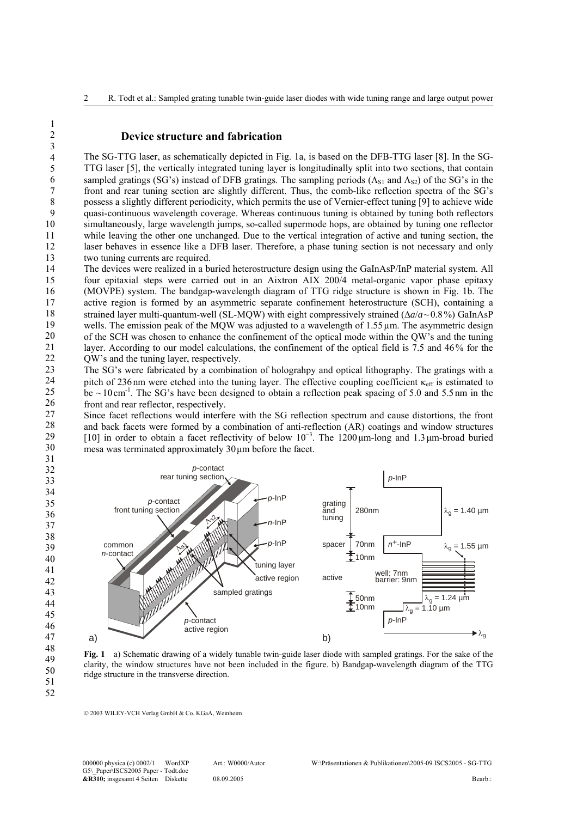#### **Device structure and fabrication**

The SG-TTG laser, as schematically depicted in Fig. 1a, is based on the DFB-TTG laser [8]. In the SG-TTG laser [5], the vertically integrated tuning layer is longitudinally split into two sections, that contain sampled gratings (SG's) instead of DFB gratings. The sampling periods ( $\Lambda_{S1}$  and  $\Lambda_{S2}$ ) of the SG's in the front and rear tuning section are slightly different. Thus, the comb-like reflection spectra of the SG's possess a slightly different periodicity, which permits the use of Vernier-effect tuning [9] to achieve wide quasi-continuous wavelength coverage. Whereas continuous tuning is obtained by tuning both reflectors simultaneously, large wavelength jumps, so-called supermode hops, are obtained by tuning one reflector while leaving the other one unchanged. Due to the vertical integration of active and tuning section, the laser behaves in essence like a DFB laser. Therefore, a phase tuning section is not necessary and only two tuning currents are required.

14 15 16 17 18 19 20 21 22 The devices were realized in a buried heterostructure design using the GaInAsP/InP material system. All four epitaxial steps were carried out in an Aixtron AIX 200/4 metal-organic vapor phase epitaxy (MOVPE) system. The bandgap-wavelength diagram of TTG ridge structure is shown in Fig. 1b. The active region is formed by an asymmetric separate confinement heterostructure (SCH), containing a strained layer multi-quantum-well (SL-MQW) with eight compressively strained (∆*a*/*a*~0.8%) GaInAsP wells. The emission peak of the MOW was adjusted to a wavelength of 1.55 µm. The asymmetric design of the SCH was chosen to enhance the confinement of the optical mode within the QW's and the tuning layer. According to our model calculations, the confinement of the optical field is 7.5 and 46% for the QW's and the tuning layer, respectively.

23 24 25 26 The SG's were fabricated by a combination of holograhpy and optical lithography. The gratings with a pitch of 236 nm were etched into the tuning layer. The effective coupling coefficient  $\kappa_{\text{eff}}$  is estimated to be  $\sim$ 10cm<sup>-1</sup>. The SG's have been designed to obtain a reflection peak spacing of 5.0 and 5.5nm in the front and rear reflector, respectively.

27 28 29 30 31 Since facet reflections would interfere with the SG reflection spectrum and cause distortions, the front and back facets were formed by a combination of anti-reflection (AR) coatings and window structures [10] in order to obtain a facet reflectivity of below 10<sup>−</sup><sup>3</sup> . The 1200µm-long and 1.3µm-broad buried mesa was terminated approximately 30µm before the facet.



**Fig. 1** a) Schematic drawing of a widely tunable twin-guide laser diode with sampled gratings. For the sake of the clarity, the window structures have not been included in the figure. b) Bandgap-wavelength diagram of the TTG ridge structure in the transverse direction.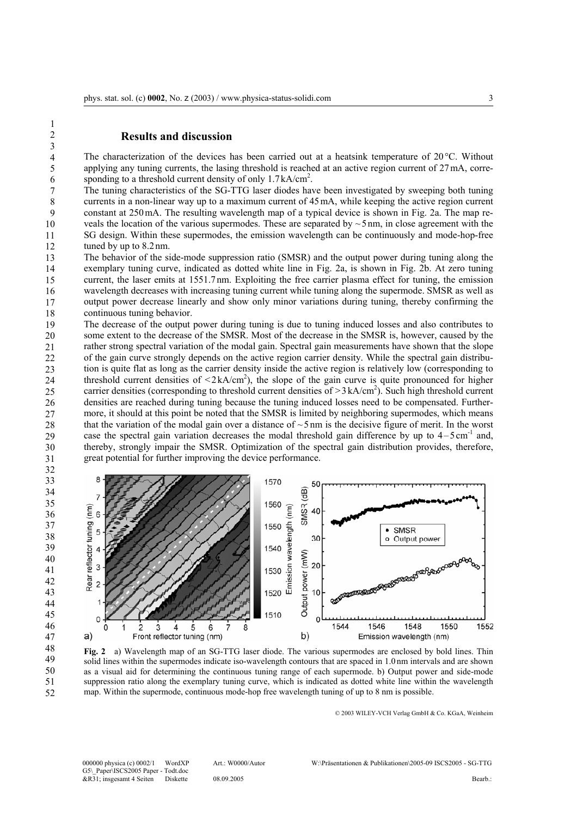### **Results and discussion**

1 2 3

21

27

4 5 6 The characterization of the devices has been carried out at a heatsink temperature of 20°C. Without applying any tuning currents, the lasing threshold is reached at an active region current of 27mA, corresponding to a threshold current density of only 1.7kA/cm<sup>2</sup>.

7 8 9 10 11 12 The tuning characteristics of the SG-TTG laser diodes have been investigated by sweeping both tuning currents in a non-linear way up to a maximum current of 45mA, while keeping the active region current constant at 250mA. The resulting wavelength map of a typical device is shown in Fig. 2a. The map reveals the location of the various supermodes. These are separated by  $\sim$  5 nm, in close agreement with the SG design. Within these supermodes, the emission wavelength can be continuously and mode-hop-free tuned by up to 8.2nm.

13 14 15 16 17 18 The behavior of the side-mode suppression ratio (SMSR) and the output power during tuning along the exemplary tuning curve, indicated as dotted white line in Fig. 2a, is shown in Fig. 2b. At zero tuning current, the laser emits at 1551.7nm. Exploiting the free carrier plasma effect for tuning, the emission wavelength decreases with increasing tuning current while tuning along the supermode. SMSR as well as output power decrease linearly and show only minor variations during tuning, thereby confirming the continuous tuning behavior.

19 20 22 23 24 25 26 28 29 30 The decrease of the output power during tuning is due to tuning induced losses and also contributes to some extent to the decrease of the SMSR. Most of the decrease in the SMSR is, however, caused by the rather strong spectral variation of the modal gain. Spectral gain measurements have shown that the slope of the gain curve strongly depends on the active region carrier density. While the spectral gain distribution is quite flat as long as the carrier density inside the active region is relatively low (corresponding to threshold current densities of  $\langle 2kA/cm^2$ ), the slope of the gain curve is quite pronounced for higher carrier densities (corresponding to threshold current densities of  $> 3 \text{ kA/cm}^2$ ). Such high threshold current densities are reached during tuning because the tuning induced losses need to be compensated. Furthermore, it should at this point be noted that the SMSR is limited by neighboring supermodes, which means that the variation of the modal gain over a distance of  $\sim$  5 nm is the decisive figure of merit. In the worst case the spectral gain variation decreases the modal threshold gain difference by up to  $4-5 \text{ cm}^{-1}$  and, thereby, strongly impair the SMSR. Optimization of the spectral gain distribution provides, therefore, great potential for further improving the device performance.



**Fig. 2** a) Wavelength map of an SG-TTG laser diode. The various supermodes are enclosed by bold lines. Thin solid lines within the supermodes indicate iso-wavelength contours that are spaced in 1.0 nm intervals and are shown as a visual aid for determining the continuous tuning range of each supermode. b) Output power and side-mode suppression ratio along the exemplary tuning curve, which is indicated as dotted white line within the wavelength map. Within the supermode, continuous mode-hop free wavelength tuning of up to 8 nm is possible.